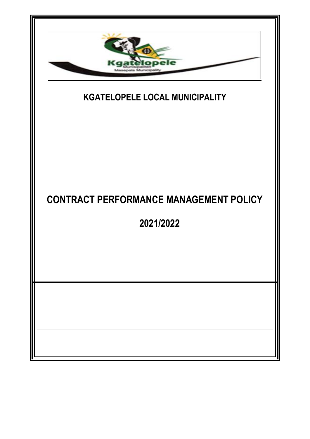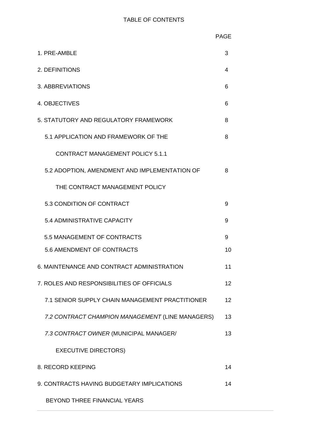| 1. PRE-AMBLE                                     | 3  |  |
|--------------------------------------------------|----|--|
| 2. DEFINITIONS<br>4                              |    |  |
| 3. ABBREVIATIONS                                 |    |  |
| 4. OBJECTIVES                                    |    |  |
| 5. STATUTORY AND REGULATORY FRAMEWORK            | 8  |  |
| 5.1 APPLICATION AND FRAMEWORK OF THE             | 8  |  |
| <b>CONTRACT MANAGEMENT POLICY 5.1.1</b>          |    |  |
| 5.2 ADOPTION, AMENDMENT AND IMPLEMENTATION OF    | 8  |  |
| THE CONTRACT MANAGEMENT POLICY                   |    |  |
| 5.3 CONDITION OF CONTRACT                        | 9  |  |
| 5.4 ADMINISTRATIVE CAPACITY                      | 9  |  |
| 5.5 MANAGEMENT OF CONTRACTS                      | 9  |  |
| 5.6 AMENDMENT OF CONTRACTS                       | 10 |  |
| 6. MAINTENANCE AND CONTRACT ADMINISTRATION       | 11 |  |
| 7. ROLES AND RESPONSIBILITIES OF OFFICIALS       | 12 |  |
| 7.1 SENIOR SUPPLY CHAIN MANAGEMENT PRACTITIONER  | 12 |  |
| 7.2 CONTRACT CHAMPION MANAGEMENT (LINE MANAGERS) | 13 |  |
| 7.3 CONTRACT OWNER (MUNICIPAL MANAGER/           | 13 |  |
| <b>EXECUTIVE DIRECTORS)</b>                      |    |  |
| 8. RECORD KEEPING                                | 14 |  |
| 9. CONTRACTS HAVING BUDGETARY IMPLICATIONS       | 14 |  |
| BEYOND THREE FINANCIAL YEARS                     |    |  |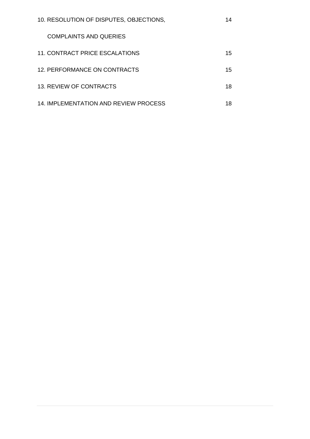| 10. RESOLUTION OF DISPUTES, OBJECTIONS, |    |
|-----------------------------------------|----|
| <b>COMPLAINTS AND QUERIES</b>           |    |
| 11. CONTRACT PRICE ESCALATIONS          | 15 |
| 12. PERFORMANCE ON CONTRACTS            | 15 |
| 13. REVIEW OF CONTRACTS                 | 18 |
| 14. IMPLEMENTATION AND REVIEW PROCESS   | 18 |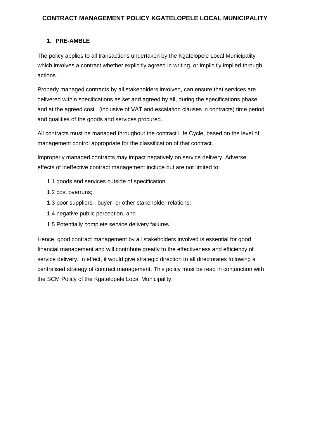## **CONTRACT MANAGEMENT POLICY KGATELOPELE LOCAL MUNICIPALITY**

### **1. PRE-AMBLE**

The policy applies to all transactions undertaken by the Kgatelopele Local Municipality which involves a contract whether explicitly agreed in writing, or implicitly implied through actions.

Properly managed contracts by all stakeholders involved, can ensure that services are delivered within specifications as set and agreed by all, during the specifications phase and at the agreed cost , (inclusive of VAT and escalation clauses in contracts) time period and qualities of the goods and services procured.

All contracts must be managed throughout the contract Life Cycle, based on the level of management control appropriate for the classification of that contract.

Improperly managed contracts may impact negatively on service delivery. Adverse effects of ineffective contract management include but are not limited to:

- 1.1 goods and services outside of specification;
- 1.2 cost overruns;
- 1.3 poor suppliers-, buyer- or other stakeholder relations;
- 1.4 negative public perception, and
- 1.5 Potentially complete service delivery failures.

Hence, good contract management by all stakeholders involved is essential for good financial management and will contribute greatly to the effectiveness and efficiency of service delivery. In effect, it would give strategic direction to all directorates following a centralised strategy of contract management. This policy must be read in conjunction with the SCM Policy of the Kgatelopele Local Municipality.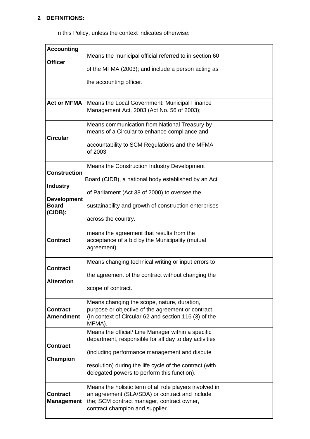## **2 DEFINITIONS:**

In this Policy, unless the context indicates otherwise:

| <b>Accounting</b>   |                                                                                                             |
|---------------------|-------------------------------------------------------------------------------------------------------------|
|                     | Means the municipal official referred to in section 60                                                      |
| <b>Officer</b>      |                                                                                                             |
|                     | of the MFMA (2003); and include a person acting as                                                          |
|                     |                                                                                                             |
|                     | the accounting officer.                                                                                     |
|                     |                                                                                                             |
| <b>Act or MFMA</b>  | Means the Local Government: Municipal Finance                                                               |
|                     | Management Act, 2003 (Act No. 56 of 2003);                                                                  |
|                     |                                                                                                             |
|                     | Means communication from National Treasury by<br>means of a Circular to enhance compliance and              |
| <b>Circular</b>     |                                                                                                             |
|                     | accountability to SCM Regulations and the MFMA                                                              |
|                     | of 2003.                                                                                                    |
|                     | Means the Construction Industry Development                                                                 |
| <b>Construction</b> |                                                                                                             |
|                     | Board (CIDB), a national body established by an Act                                                         |
| <b>Industry</b>     |                                                                                                             |
| <b>Development</b>  | of Parliament (Act 38 of 2000) to oversee the                                                               |
| <b>Board</b>        | sustainability and growth of construction enterprises                                                       |
| (CIDB):             |                                                                                                             |
|                     | across the country.                                                                                         |
|                     | means the agreement that results from the                                                                   |
| <b>Contract</b>     | acceptance of a bid by the Municipality (mutual                                                             |
|                     | agreement)                                                                                                  |
|                     |                                                                                                             |
| <b>Contract</b>     | Means changing technical writing or input errors to                                                         |
|                     | the agreement of the contract without changing the                                                          |
| <b>Alteration</b>   |                                                                                                             |
|                     | scope of contract.                                                                                          |
|                     | Means changing the scope, nature, duration,                                                                 |
| <b>Contract</b>     | purpose or objective of the agreement or contract                                                           |
| <b>Amendment</b>    | (In context of Circular 62 and section 116 (3) of the                                                       |
|                     | MFMA).                                                                                                      |
|                     | Means the official/ Line Manager within a specific<br>department, responsible for all day to day activities |
| <b>Contract</b>     |                                                                                                             |
|                     | (including performance management and dispute                                                               |
| Champion            | resolution) during the life cycle of the contract (with                                                     |
|                     | delegated powers to perform this function).                                                                 |
|                     |                                                                                                             |
|                     | Means the holistic term of all role players involved in                                                     |
| <b>Contract</b>     | an agreement (SLA/SDA) or contract and include                                                              |
| <b>Management</b>   | the; SCM contract manager, contract owner,<br>contract champion and supplier.                               |
|                     |                                                                                                             |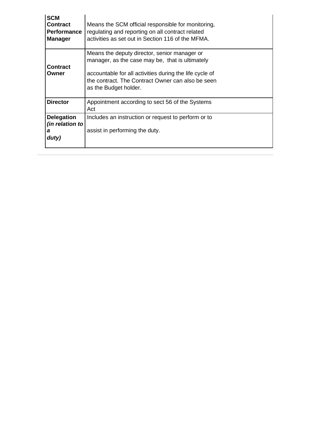| <b>SCM</b><br><b>Contract</b><br><b>Performance</b><br><b>Manager</b> | Means the SCM official responsible for monitoring,<br>regulating and reporting on all contract related<br>activities as set out in Section 116 of the MFMA.                                                                              |
|-----------------------------------------------------------------------|------------------------------------------------------------------------------------------------------------------------------------------------------------------------------------------------------------------------------------------|
| Contract<br>Owner                                                     | Means the deputy director, senior manager or<br>manager, as the case may be, that is ultimately<br>accountable for all activities during the life cycle of<br>the contract. The Contract Owner can also be seen<br>as the Budget holder. |
| <b>Director</b>                                                       | Appointment according to sect 56 of the Systems<br>Act                                                                                                                                                                                   |
| <b>Delegation</b><br>(in relation to<br>а<br>duty)                    | Includes an instruction or request to perform or to<br>assist in performing the duty.                                                                                                                                                    |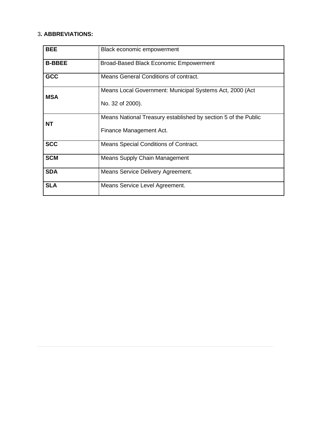#### 3**. ABBREVIATIONS:**

| <b>BEE</b>    | Black economic empowerment                                     |
|---------------|----------------------------------------------------------------|
| <b>B-BBEE</b> | <b>Broad-Based Black Economic Empowerment</b>                  |
| <b>GCC</b>    | Means General Conditions of contract.                          |
| <b>MSA</b>    | Means Local Government: Municipal Systems Act, 2000 (Act       |
|               | No. 32 of 2000).                                               |
| <b>NT</b>     | Means National Treasury established by section 5 of the Public |
|               | Finance Management Act.                                        |
| <b>SCC</b>    | Means Special Conditions of Contract.                          |
| <b>SCM</b>    | <b>Means Supply Chain Management</b>                           |
| <b>SDA</b>    | Means Service Delivery Agreement.                              |
| <b>SLA</b>    | Means Service Level Agreement.                                 |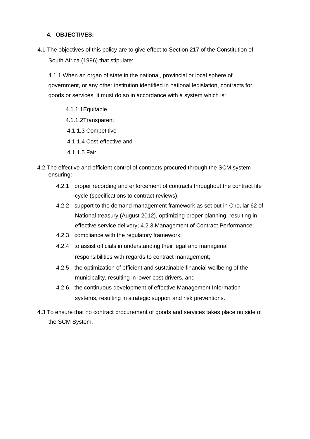#### **4. OBJECTIVES:**

4.1 The objectives of this policy are to give effect to Section 217 of the Constitution of South Africa (1996) that stipulate:

4.1.1 When an organ of state in the national, provincial or local sphere of government, or any other institution identified in national legislation, contracts for goods or services, it must do so in accordance with a system which is:

4.1.1.1Equitable 4.1.1.2Transparent 4.1.1.3 Competitive 4.1.1.4 Cost-effective and 4.1.1.5 Fair

- 4.2 The effective and efficient control of contracts procured through the SCM system ensuring:
	- 4.2.1 proper recording and enforcement of contracts throughout the contract life cycle (specifications to contract reviews);
	- 4.2.2 support to the demand management framework as set out in Circular 62 of National treasury (August 2012), optimizing proper planning, resulting in effective service delivery; 4.2.3 Management of Contract Performance;
	- 4.2.3 compliance with the regulatory framework;
	- 4.2.4 to assist officials in understanding their legal and managerial responsibilities with regards to contract management;
	- 4.2.5 the optimization of efficient and sustainable financial wellbeing of the municipality, resulting in lower cost drivers, and
	- 4.2.6 the continuous development of effective Management Information systems, resulting in strategic support and risk preventions.
- 4.3 To ensure that no contract procurement of goods and services takes place outside of the SCM System.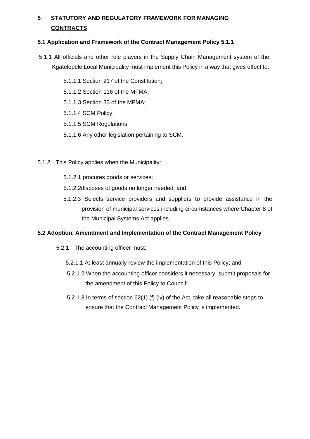# **5 STATUTORY AND REGULATORY FRAMEWORK FOR MANAGING CONTRACTS**

#### **5.1 Application and Framework of the Contract Management Policy 5.1.1**

- 5.1.1 All officials and other role players in the Supply Chain Management system of the Kgatelopele Local Municipality must implement this Policy in a way that gives effect to:
	- 5.1.1.1 Section 217 of the Constitution;
	- 5.1.1.2 Section 116 of the MFMA;
	- 5.1.1.3 Section 33 of the MFMA;
	- 5.1.1.4 SCM Policy;
	- 5.1.1.5 SCM Regulations
	- 5.1.1.6 Any other legislation pertaining to SCM.
- 5.1.2 This Policy applies when the Municipality:
	- 5.1.2.1 procures goods or services;
	- 5.1.2.2disposes of goods no longer needed; and
	- 5.1.2.3 Selects service providers and suppliers to provide assistance in the provision of municipal services including circumstances where Chapter 8 of the Municipal Systems Act applies.

#### **5.2 Adoption, Amendment and Implementation of the Contract Management Policy**

- 5.2.1 The accounting officer must:
	- 5.2.1.1 At least annually review the implementation of this Policy; and
	- 5.2.1.2 When the accounting officer considers it necessary, submit proposals for the amendment of this Policy to Council;
	- 5.2.1.3 In terms of section 62(1) (f) (iv) of the Act, take all reasonable steps to ensure that the Contract Management Policy is implemented.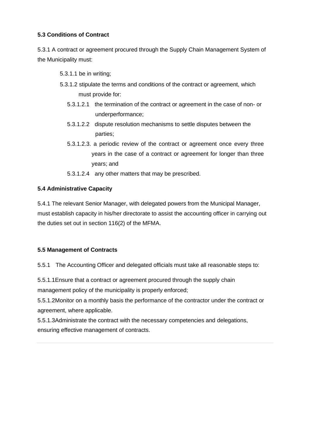## **5.3 Conditions of Contract**

5.3.1 A contract or agreement procured through the Supply Chain Management System of the Municipality must:

5.3.1.1 be in writing;

- 5.3.1.2 stipulate the terms and conditions of the contract or agreement, which must provide for:
	- 5.3.1.2.1 the termination of the contract or agreement in the case of non- or underperformance;
	- 5.3.1.2.2 dispute resolution mechanisms to settle disputes between the parties;
	- 5.3.1.2.3. a periodic review of the contract or agreement once every three years in the case of a contract or agreement for longer than three years; and
	- 5.3.1.2.4 any other matters that may be prescribed.

#### **5.4 Administrative Capacity**

5.4.1 The relevant Senior Manager, with delegated powers from the Municipal Manager, must establish capacity in his/her directorate to assist the accounting officer in carrying out the duties set out in section 116(2) of the MFMA.

#### **5.5 Management of Contracts**

5.5.1 The Accounting Officer and delegated officials must take all reasonable steps to:

5.5.1.1Ensure that a contract or agreement procured through the supply chain

management policy of the municipality is properly enforced;

5.5.1.2Monitor on a monthly basis the performance of the contractor under the contract or agreement, where applicable.

5.5.1.3Administrate the contract with the necessary competencies and delegations, ensuring effective management of contracts.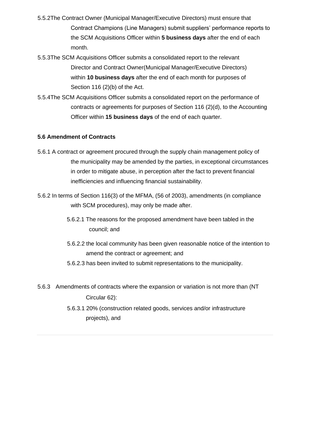- 5.5.2The Contract Owner (Municipal Manager/Executive Directors) must ensure that Contract Champions (Line Managers) submit suppliers' performance reports to the SCM Acquisitions Officer within **5 business days** after the end of each month.
- 5.5.3The SCM Acquisitions Officer submits a consolidated report to the relevant Director and Contract Owner(Municipal Manager/Executive Directors) within **10 business days** after the end of each month for purposes of Section 116 (2)(b) of the Act.
- 5.5.4The SCM Acquisitions Officer submits a consolidated report on the performance of contracts or agreements for purposes of Section 116 (2)(d), to the Accounting Officer within **15 business days** of the end of each quarter.

#### **5.6 Amendment of Contracts**

- 5.6.1 A contract or agreement procured through the supply chain management policy of the municipality may be amended by the parties, in exceptional circumstances in order to mitigate abuse, in perception after the fact to prevent financial inefficiencies and influencing financial sustainability.
- 5.6.2 In terms of Section 116(3) of the MFMA, (56 of 2003), amendments (in compliance with SCM procedures), may only be made after.
	- 5.6.2.1 The reasons for the proposed amendment have been tabled in the council; and
	- 5.6.2.2 the local community has been given reasonable notice of the intention to amend the contract or agreement; and
	- 5.6.2.3 has been invited to submit representations to the municipality.
- 5.6.3 Amendments of contracts where the expansion or variation is not more than (NT Circular 62):
	- 5.6.3.1 20% (construction related goods, services and/or infrastructure projects), and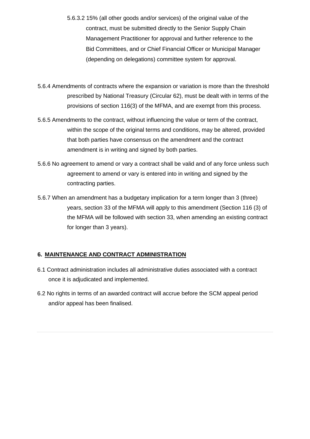- 5.6.3.2 15% (all other goods and/or services) of the original value of the contract, must be submitted directly to the Senior Supply Chain Management Practitioner for approval and further reference to the Bid Committees, and or Chief Financial Officer or Municipal Manager (depending on delegations) committee system for approval.
- 5.6.4 Amendments of contracts where the expansion or variation is more than the threshold prescribed by National Treasury (Circular 62), must be dealt with in terms of the provisions of section 116(3) of the MFMA, and are exempt from this process.
- 5.6.5 Amendments to the contract, without influencing the value or term of the contract, within the scope of the original terms and conditions, may be altered, provided that both parties have consensus on the amendment and the contract amendment is in writing and signed by both parties.
- 5.6.6 No agreement to amend or vary a contract shall be valid and of any force unless such agreement to amend or vary is entered into in writing and signed by the contracting parties.
- 5.6.7 When an amendment has a budgetary implication for a term longer than 3 (three) years, section 33 of the MFMA will apply to this amendment (Section 116 (3) of the MFMA will be followed with section 33, when amending an existing contract for longer than 3 years).

#### **6. MAINTENANCE AND CONTRACT ADMINISTRATION**

- 6.1 Contract administration includes all administrative duties associated with a contract once it is adjudicated and implemented.
- 6.2 No rights in terms of an awarded contract will accrue before the SCM appeal period and/or appeal has been finalised.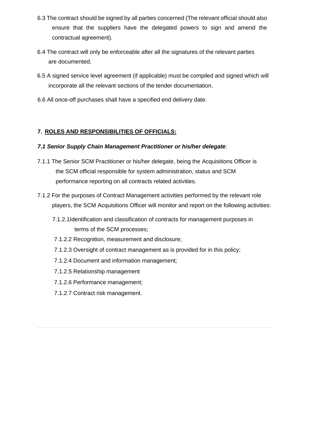- 6.3 The contract should be signed by all parties concerned (The relevant official should also ensure that the suppliers have the delegated powers to sign and amend the contractual agreement).
- 6.4 The contract will only be enforceable after all the signatures of the relevant parties are documented.
- 6.5 A signed service level agreement (if applicable) must be compiled and signed which will incorporate all the relevant sections of the tender documentation.
- 6.6 All once-off purchases shall have a specified end delivery date.

## **7. ROLES AND RESPONSIBILITIES OF OFFICIALS:**

#### *7.1 Senior Supply Chain Management Practitioner or his/her delegate:*

- 7.1.1 The Senior SCM Practitioner or his/her delegate, being the Acquisitions Officer is the SCM official responsible for system administration, status and SCM performance reporting on all contracts related activities.
- 7.1.2 For the purposes of Contract Management activities performed by the relevant role players, the SCM Acquisitions Officer will monitor and report on the following activities:
	- 7.1.2.1Identification and classification of contracts for management purposes in terms of the SCM processes;
	- 7.1.2.2 Recognition, measurement and disclosure;
	- 7.1.2.3 Oversight of contract management as is provided for in this policy;
	- 7.1.2.4 Document and information management;
	- 7.1.2.5 Relationship management
	- 7.1.2.6 Performance management;
	- 7.1.2.7 Contract risk management.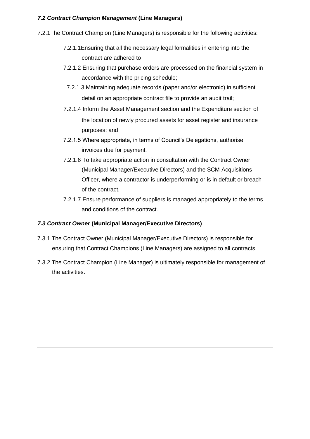## *7.2 Contract Champion Management* **(Line Managers)**

- 7.2.1The Contract Champion (Line Managers) is responsible for the following activities:
	- 7.2.1.1Ensuring that all the necessary legal formalities in entering into the contract are adhered to
	- 7.2.1.2 Ensuring that purchase orders are processed on the financial system in accordance with the pricing schedule;
		- 7.2.1.3 Maintaining adequate records (paper and/or electronic) in sufficient detail on an appropriate contract file to provide an audit trail;
	- 7.2.1.4 Inform the Asset Management section and the Expenditure section of the location of newly procured assets for asset register and insurance purposes; and
	- 7.2.1.5 Where appropriate, in terms of Council's Delegations, authorise invoices due for payment.
	- 7.2.1.6 To take appropriate action in consultation with the Contract Owner (Municipal Manager/Executive Directors) and the SCM Acquisitions Officer, where a contractor is underperforming or is in default or breach of the contract.
	- 7.2.1.7 Ensure performance of suppliers is managed appropriately to the terms and conditions of the contract.

## *7.3 Contract Owner* **(Municipal Manager/Executive Directors)**

- 7.3.1 The Contract Owner (Municipal Manager/Executive Directors) is responsible for ensuring that Contract Champions (Line Managers) are assigned to all contracts.
- 7.3.2 The Contract Champion (Line Manager) is ultimately responsible for management of the activities.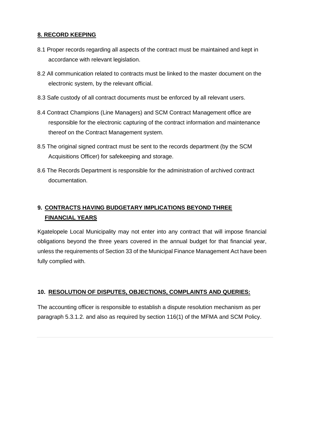#### **8. RECORD KEEPING**

- 8.1 Proper records regarding all aspects of the contract must be maintained and kept in accordance with relevant legislation.
- 8.2 All communication related to contracts must be linked to the master document on the electronic system, by the relevant official.
- 8.3 Safe custody of all contract documents must be enforced by all relevant users.
- 8.4 Contract Champions (Line Managers) and SCM Contract Management office are responsible for the electronic capturing of the contract information and maintenance thereof on the Contract Management system.
- 8.5 The original signed contract must be sent to the records department (by the SCM Acquisitions Officer) for safekeeping and storage.
- 8.6 The Records Department is responsible for the administration of archived contract documentation.

## **9. CONTRACTS HAVING BUDGETARY IMPLICATIONS BEYOND THREE FINANCIAL YEARS**

Kgatelopele Local Municipality may not enter into any contract that will impose financial obligations beyond the three years covered in the annual budget for that financial year, unless the requirements of Section 33 of the Municipal Finance Management Act have been fully complied with.

#### **10. RESOLUTION OF DISPUTES, OBJECTIONS, COMPLAINTS AND QUERIES:**

The accounting officer is responsible to establish a dispute resolution mechanism as per paragraph 5.3.1.2. and also as required by section 116(1) of the MFMA and SCM Policy.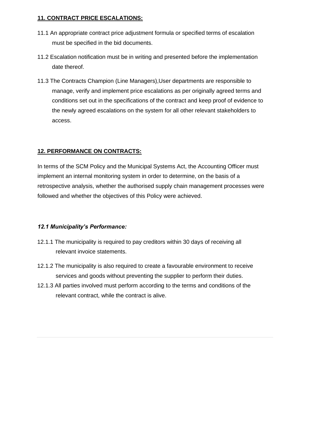## **11. CONTRACT PRICE ESCALATIONS:**

- 11.1 An appropriate contract price adjustment formula or specified terms of escalation must be specified in the bid documents.
- 11.2 Escalation notification must be in writing and presented before the implementation date thereof.
- 11.3 The Contracts Champion (Line Managers),User departments are responsible to manage, verify and implement price escalations as per originally agreed terms and conditions set out in the specifications of the contract and keep proof of evidence to the newly agreed escalations on the system for all other relevant stakeholders to access.

## **12. PERFORMANCE ON CONTRACTS:**

In terms of the SCM Policy and the Municipal Systems Act, the Accounting Officer must implement an internal monitoring system in order to determine, on the basis of a retrospective analysis, whether the authorised supply chain management processes were followed and whether the objectives of this Policy were achieved.

## *12.1 Municipality's Performance:*

- 12.1.1 The municipality is required to pay creditors within 30 days of receiving all relevant invoice statements.
- 12.1.2 The municipality is also required to create a favourable environment to receive services and goods without preventing the supplier to perform their duties.
- 12.1.3 All parties involved must perform according to the terms and conditions of the relevant contract, while the contract is alive.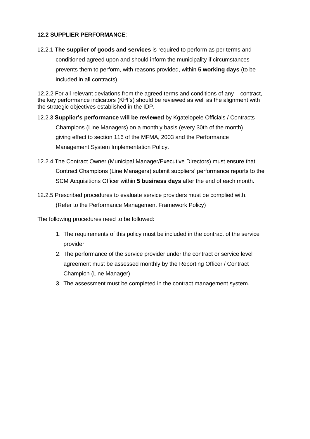#### **12.2 SUPPLIER PERFORMANCE**:

12.2.1 **The supplier of goods and services** is required to perform as per terms and conditioned agreed upon and should inform the municipality if circumstances prevents them to perform, with reasons provided, within **5 working days** (to be included in all contracts).

12.2.2 For all relevant deviations from the agreed terms and conditions of any contract, the key performance indicators (KPI's) should be reviewed as well as the alignment with the strategic objectives established in the IDP.

- 12.2.3 **Supplier's performance will be reviewed** by Kgatelopele Officials / Contracts Champions (Line Managers) on a monthly basis (every 30th of the month) giving effect to section 116 of the MFMA, 2003 and the Performance Management System Implementation Policy.
- 12.2.4 The Contract Owner (Municipal Manager/Executive Directors) must ensure that Contract Champions (Line Managers) submit suppliers' performance reports to the SCM Acquisitions Officer within **5 business days** after the end of each month.
- 12.2.5 Prescribed procedures to evaluate service providers must be complied with. (Refer to the Performance Management Framework Policy)

The following procedures need to be followed:

- 1. The requirements of this policy must be included in the contract of the service provider.
- 2. The performance of the service provider under the contract or service level agreement must be assessed monthly by the Reporting Officer / Contract Champion (Line Manager)
- 3. The assessment must be completed in the contract management system.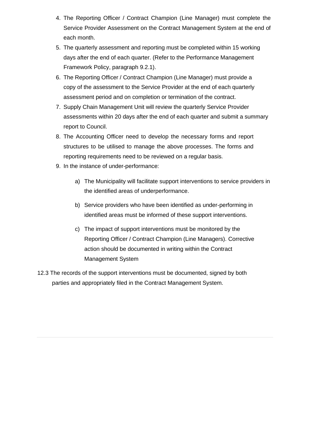- 4. The Reporting Officer / Contract Champion (Line Manager) must complete the Service Provider Assessment on the Contract Management System at the end of each month.
- 5. The quarterly assessment and reporting must be completed within 15 working days after the end of each quarter. (Refer to the Performance Management Framework Policy, paragraph 9.2.1).
- 6. The Reporting Officer / Contract Champion (Line Manager) must provide a copy of the assessment to the Service Provider at the end of each quarterly assessment period and on completion or termination of the contract.
- 7. Supply Chain Management Unit will review the quarterly Service Provider assessments within 20 days after the end of each quarter and submit a summary report to Council.
- 8. The Accounting Officer need to develop the necessary forms and report structures to be utilised to manage the above processes. The forms and reporting requirements need to be reviewed on a regular basis.
- 9. In the instance of under-performance:
	- a) The Municipality will facilitate support interventions to service providers in the identified areas of underperformance.
	- b) Service providers who have been identified as under-performing in identified areas must be informed of these support interventions.
	- c) The impact of support interventions must be monitored by the Reporting Officer / Contract Champion (Line Managers). Corrective action should be documented in writing within the Contract Management System
- 12.3 The records of the support interventions must be documented, signed by both parties and appropriately filed in the Contract Management System.